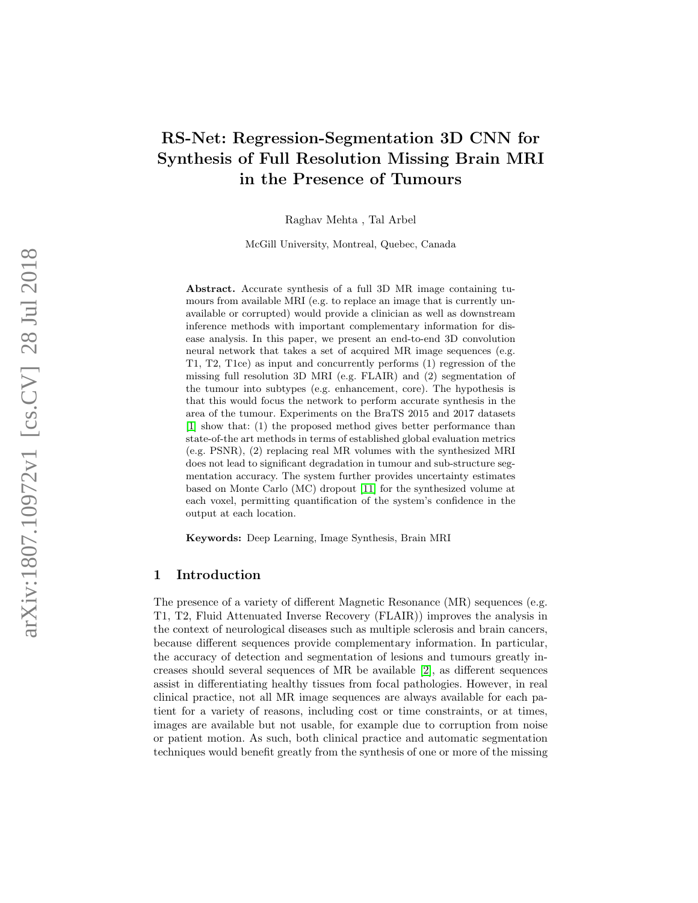# RS-Net: Regression-Segmentation 3D CNN for Synthesis of Full Resolution Missing Brain MRI in the Presence of Tumours

Raghav Mehta , Tal Arbel

McGill University, Montreal, Quebec, Canada

Abstract. Accurate synthesis of a full 3D MR image containing tumours from available MRI (e.g. to replace an image that is currently unavailable or corrupted) would provide a clinician as well as downstream inference methods with important complementary information for disease analysis. In this paper, we present an end-to-end 3D convolution neural network that takes a set of acquired MR image sequences (e.g. T1, T2, T1ce) as input and concurrently performs (1) regression of the missing full resolution 3D MRI (e.g. FLAIR) and (2) segmentation of the tumour into subtypes (e.g. enhancement, core). The hypothesis is that this would focus the network to perform accurate synthesis in the area of the tumour. Experiments on the BraTS 2015 and 2017 datasets [\[1\]](#page-9-0) show that: (1) the proposed method gives better performance than state-of-the art methods in terms of established global evaluation metrics (e.g. PSNR), (2) replacing real MR volumes with the synthesized MRI does not lead to significant degradation in tumour and sub-structure segmentation accuracy. The system further provides uncertainty estimates based on Monte Carlo (MC) dropout [\[11\]](#page-10-0) for the synthesized volume at each voxel, permitting quantification of the system's confidence in the output at each location.

Keywords: Deep Learning, Image Synthesis, Brain MRI

## 1 Introduction

The presence of a variety of different Magnetic Resonance (MR) sequences (e.g. T1, T2, Fluid Attenuated Inverse Recovery (FLAIR)) improves the analysis in the context of neurological diseases such as multiple sclerosis and brain cancers, because different sequences provide complementary information. In particular, the accuracy of detection and segmentation of lesions and tumours greatly increases should several sequences of MR be available [\[2\]](#page-9-1), as different sequences assist in differentiating healthy tissues from focal pathologies. However, in real clinical practice, not all MR image sequences are always available for each patient for a variety of reasons, including cost or time constraints, or at times, images are available but not usable, for example due to corruption from noise or patient motion. As such, both clinical practice and automatic segmentation techniques would benefit greatly from the synthesis of one or more of the missing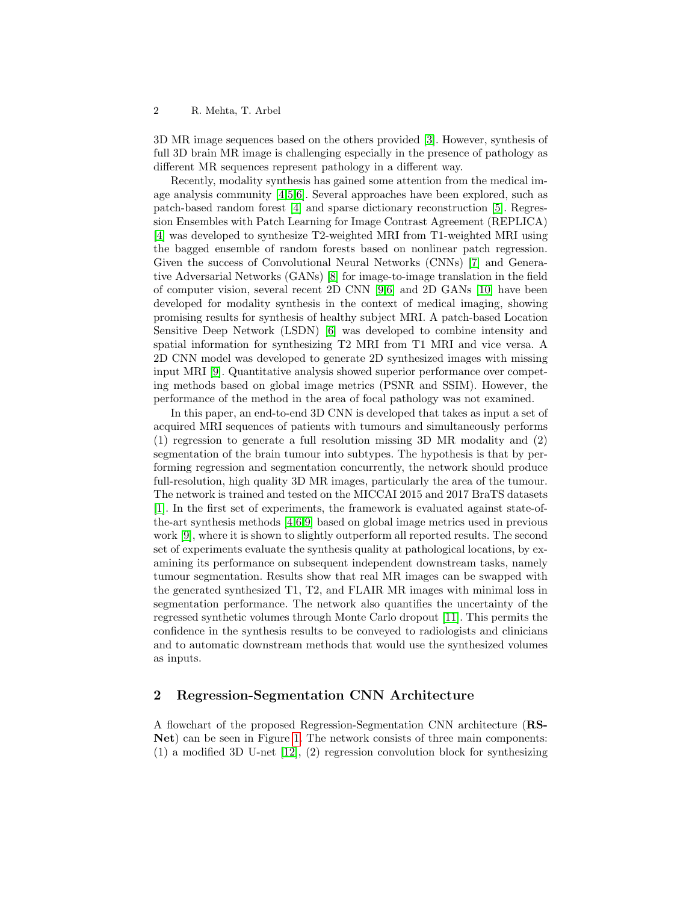#### 2 R. Mehta, T. Arbel

3D MR image sequences based on the others provided [\[3\]](#page-10-1). However, synthesis of full 3D brain MR image is challenging especially in the presence of pathology as different MR sequences represent pathology in a different way.

Recently, modality synthesis has gained some attention from the medical image analysis community [\[4,](#page-10-2)[5](#page-10-3)[,6\]](#page-10-4). Several approaches have been explored, such as patch-based random forest [\[4\]](#page-10-2) and sparse dictionary reconstruction [\[5\]](#page-10-3). Regression Ensembles with Patch Learning for Image Contrast Agreement (REPLICA) [\[4\]](#page-10-2) was developed to synthesize T2-weighted MRI from T1-weighted MRI using the bagged ensemble of random forests based on nonlinear patch regression. Given the success of Convolutional Neural Networks (CNNs) [\[7\]](#page-10-5) and Generative Adversarial Networks (GANs) [\[8\]](#page-10-6) for image-to-image translation in the field of computer vision, several recent 2D CNN [\[9,](#page-10-7)[6\]](#page-10-4) and 2D GANs [\[10\]](#page-10-8) have been developed for modality synthesis in the context of medical imaging, showing promising results for synthesis of healthy subject MRI. A patch-based Location Sensitive Deep Network (LSDN) [\[6\]](#page-10-4) was developed to combine intensity and spatial information for synthesizing T2 MRI from T1 MRI and vice versa. A 2D CNN model was developed to generate 2D synthesized images with missing input MRI [\[9\]](#page-10-7). Quantitative analysis showed superior performance over competing methods based on global image metrics (PSNR and SSIM). However, the performance of the method in the area of focal pathology was not examined.

In this paper, an end-to-end 3D CNN is developed that takes as input a set of acquired MRI sequences of patients with tumours and simultaneously performs (1) regression to generate a full resolution missing 3D MR modality and (2) segmentation of the brain tumour into subtypes. The hypothesis is that by performing regression and segmentation concurrently, the network should produce full-resolution, high quality 3D MR images, particularly the area of the tumour. The network is trained and tested on the MICCAI 2015 and 2017 BraTS datasets [\[1\]](#page-9-0). In the first set of experiments, the framework is evaluated against state-ofthe-art synthesis methods [\[4,](#page-10-2)[6,](#page-10-4)[9\]](#page-10-7) based on global image metrics used in previous work [\[9\]](#page-10-7), where it is shown to slightly outperform all reported results. The second set of experiments evaluate the synthesis quality at pathological locations, by examining its performance on subsequent independent downstream tasks, namely tumour segmentation. Results show that real MR images can be swapped with the generated synthesized T1, T2, and FLAIR MR images with minimal loss in segmentation performance. The network also quantifies the uncertainty of the regressed synthetic volumes through Monte Carlo dropout [\[11\]](#page-10-0). This permits the confidence in the synthesis results to be conveyed to radiologists and clinicians and to automatic downstream methods that would use the synthesized volumes as inputs.

# 2 Regression-Segmentation CNN Architecture

A flowchart of the proposed Regression-Segmentation CNN architecture (RS-Net) can be seen in Figure [1.](#page-2-0) The network consists of three main components: (1) a modified 3D U-net [\[12\]](#page-10-9), (2) regression convolution block for synthesizing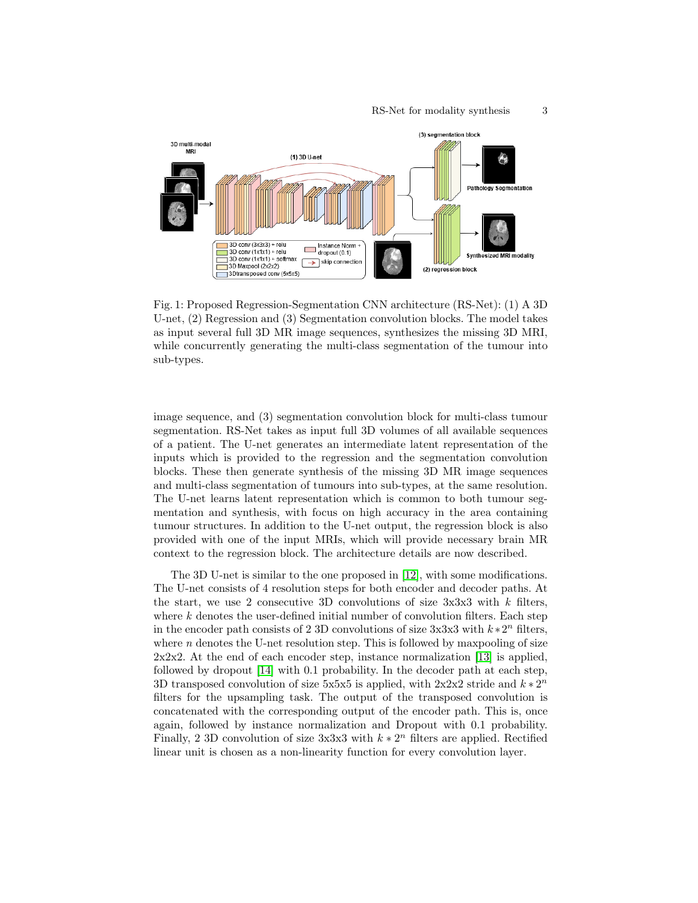<span id="page-2-0"></span>

Fig. 1: Proposed Regression-Segmentation CNN architecture (RS-Net): (1) A 3D U-net, (2) Regression and (3) Segmentation convolution blocks. The model takes as input several full 3D MR image sequences, synthesizes the missing 3D MRI, while concurrently generating the multi-class segmentation of the tumour into sub-types.

image sequence, and (3) segmentation convolution block for multi-class tumour segmentation. RS-Net takes as input full 3D volumes of all available sequences of a patient. The U-net generates an intermediate latent representation of the inputs which is provided to the regression and the segmentation convolution blocks. These then generate synthesis of the missing 3D MR image sequences and multi-class segmentation of tumours into sub-types, at the same resolution. The U-net learns latent representation which is common to both tumour segmentation and synthesis, with focus on high accuracy in the area containing tumour structures. In addition to the U-net output, the regression block is also provided with one of the input MRIs, which will provide necessary brain MR context to the regression block. The architecture details are now described.

The 3D U-net is similar to the one proposed in [\[12\]](#page-10-9), with some modifications. The U-net consists of 4 resolution steps for both encoder and decoder paths. At the start, we use 2 consecutive 3D convolutions of size  $3x3x3$  with k filters, where  $k$  denotes the user-defined initial number of convolution filters. Each step in the encoder path consists of 2 3D convolutions of size  $3x3x3$  with  $k*2^n$  filters, where  $n$  denotes the U-net resolution step. This is followed by maxpooling of size 2x2x2. At the end of each encoder step, instance normalization [\[13\]](#page-10-10) is applied, followed by dropout [\[14\]](#page-10-11) with 0.1 probability. In the decoder path at each step, 3D transposed convolution of size 5x5x5 is applied, with  $2x2x2$  stride and  $k * 2^n$ filters for the upsampling task. The output of the transposed convolution is concatenated with the corresponding output of the encoder path. This is, once again, followed by instance normalization and Dropout with 0.1 probability. Finally, 2 3D convolution of size 3x3x3 with  $k * 2<sup>n</sup>$  filters are applied. Rectified linear unit is chosen as a non-linearity function for every convolution layer.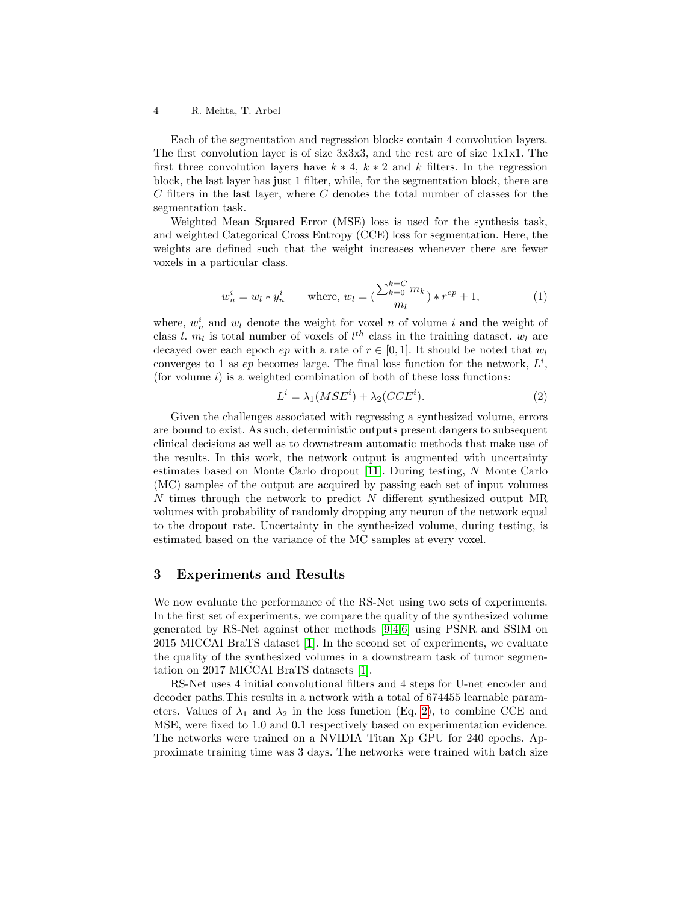#### 4 R. Mehta, T. Arbel

Each of the segmentation and regression blocks contain 4 convolution layers. The first convolution layer is of size 3x3x3, and the rest are of size 1x1x1. The first three convolution layers have  $k * 4$ ,  $k * 2$  and k filters. In the regression block, the last layer has just 1 filter, while, for the segmentation block, there are  $C$  filters in the last layer, where  $C$  denotes the total number of classes for the segmentation task.

Weighted Mean Squared Error (MSE) loss is used for the synthesis task, and weighted Categorical Cross Entropy (CCE) loss for segmentation. Here, the weights are defined such that the weight increases whenever there are fewer voxels in a particular class.

$$
w_n^i = w_l * y_n^i \qquad \text{where, } w_l = \left(\frac{\sum_{k=0}^{k=C} m_k}{m_l}\right) * r^{ep} + 1,\tag{1}
$$

where,  $w_n^i$  and  $w_l$  denote the weight for voxel n of volume i and the weight of class l.  $m_l$  is total number of voxels of  $l^{th}$  class in the training dataset.  $w_l$  are decayed over each epoch  $ep$  with a rate of  $r \in [0,1]$ . It should be noted that  $w_l$ converges to 1 as  $ep$  becomes large. The final loss function for the network,  $L^i$ , (for volume  $i$ ) is a weighted combination of both of these loss functions:

$$
L^i = \lambda_1 (MSE^i) + \lambda_2 (CCE^i). \tag{2}
$$

<span id="page-3-0"></span>Given the challenges associated with regressing a synthesized volume, errors are bound to exist. As such, deterministic outputs present dangers to subsequent clinical decisions as well as to downstream automatic methods that make use of the results. In this work, the network output is augmented with uncertainty estimates based on Monte Carlo dropout [\[11\]](#page-10-0). During testing, N Monte Carlo (MC) samples of the output are acquired by passing each set of input volumes N times through the network to predict N different synthesized output MR volumes with probability of randomly dropping any neuron of the network equal to the dropout rate. Uncertainty in the synthesized volume, during testing, is estimated based on the variance of the MC samples at every voxel.

## 3 Experiments and Results

We now evaluate the performance of the RS-Net using two sets of experiments. In the first set of experiments, we compare the quality of the synthesized volume generated by RS-Net against other methods [\[9,](#page-10-7)[4,](#page-10-2)[6\]](#page-10-4) using PSNR and SSIM on 2015 MICCAI BraTS dataset [\[1\]](#page-9-0). In the second set of experiments, we evaluate the quality of the synthesized volumes in a downstream task of tumor segmentation on 2017 MICCAI BraTS datasets [\[1\]](#page-9-0).

RS-Net uses 4 initial convolutional filters and 4 steps for U-net encoder and decoder paths.This results in a network with a total of 674455 learnable parameters. Values of  $\lambda_1$  and  $\lambda_2$  in the loss function (Eq. [2\)](#page-3-0), to combine CCE and MSE, were fixed to 1.0 and 0.1 respectively based on experimentation evidence. The networks were trained on a NVIDIA Titan Xp GPU for 240 epochs. Approximate training time was 3 days. The networks were trained with batch size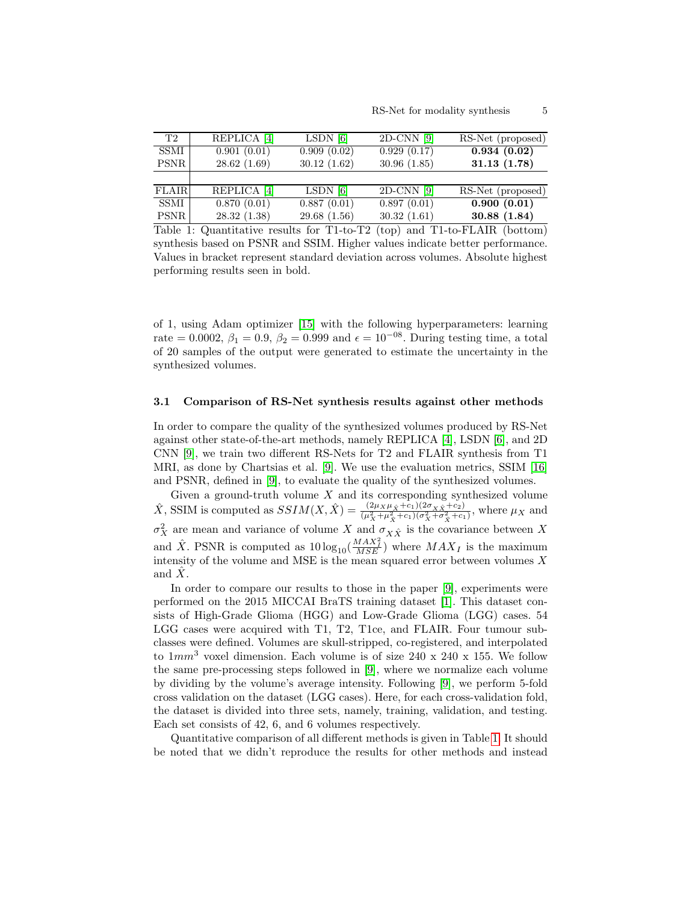<span id="page-4-0"></span>

| T2           | REPLICA <sup>[4]</sup> | $LSDN$ [6]  | $2D-CNN$ [9] | RS-Net (proposed) |
|--------------|------------------------|-------------|--------------|-------------------|
| <b>SSMI</b>  | 0.901(0.01)            | 0.909(0.02) | 0.929(0.17)  | 0.934(0.02)       |
| PSNR         | 28.62(1.69)            | 30.12(1.62) | 30.96(1.85)  | 31.13(1.78)       |
|              |                        |             |              |                   |
| <b>FLAIR</b> | REPLICA <sup>[4]</sup> | $LSDN$ [6]  | $2D-CNN$ [9] | RS-Net (proposed) |
| SSMI         | 0.870(0.01)            | 0.887(0.01) | 0.897(0.01)  | 0.900(0.01)       |
| <b>PSNR</b>  | 28.32(1.38)            | 29.68(1.56) | 30.32(1.61)  | 30.88(1.84)       |

Table 1: Quantitative results for T1-to-T2 (top) and T1-to-FLAIR (bottom) synthesis based on PSNR and SSIM. Higher values indicate better performance. Values in bracket represent standard deviation across volumes. Absolute highest performing results seen in bold.

of 1, using Adam optimizer [\[15\]](#page-10-12) with the following hyperparameters: learning rate = 0.0002,  $\beta_1 = 0.9$ ,  $\beta_2 = 0.999$  and  $\epsilon = 10^{-08}$ . During testing time, a total of 20 samples of the output were generated to estimate the uncertainty in the synthesized volumes.

#### 3.1 Comparison of RS-Net synthesis results against other methods

In order to compare the quality of the synthesized volumes produced by RS-Net against other state-of-the-art methods, namely REPLICA [\[4\]](#page-10-2), LSDN [\[6\]](#page-10-4), and 2D CNN [\[9\]](#page-10-7), we train two different RS-Nets for T2 and FLAIR synthesis from T1 MRI, as done by Chartsias et al. [\[9\]](#page-10-7). We use the evaluation metrics, SSIM [\[16\]](#page-10-13) and PSNR, defined in [\[9\]](#page-10-7), to evaluate the quality of the synthesized volumes.

Given a ground-truth volume  $X$  and its corresponding synthesized volume  $\hat{X}$ , SSIM is computed as  $SSIM(X, \hat{X}) = \frac{(2\mu_X \mu_{\hat{X}} + c_1)(2\sigma_X \hat{X} + c_2)}{(\mu_X^2 + \mu_X^2 + c_1)(\sigma_X^2 + \sigma_X^2 + c_1)},$  where  $\mu_X$  and  $\sigma_X^2$  are mean and variance of volume X and  $\sigma_{X\hat{X}}$  is the covariance between X and  $\hat{X}$ . PSNR is computed as  $10\log_{10}(\frac{MAX_I^2}{MSE})$  where  $MAX_I$  is the maximum intensity of the volume and MSE is the mean squared error between volumes  $X$ and  $X$ .

In order to compare our results to those in the paper [\[9\]](#page-10-7), experiments were performed on the 2015 MICCAI BraTS training dataset [\[1\]](#page-9-0). This dataset consists of High-Grade Glioma (HGG) and Low-Grade Glioma (LGG) cases. 54 LGG cases were acquired with T1, T2, T1ce, and FLAIR. Four tumour subclasses were defined. Volumes are skull-stripped, co-registered, and interpolated to  $1mm^3$  voxel dimension. Each volume is of size 240 x 240 x 155. We follow the same pre-processing steps followed in [\[9\]](#page-10-7), where we normalize each volume by dividing by the volume's average intensity. Following [\[9\]](#page-10-7), we perform 5-fold cross validation on the dataset (LGG cases). Here, for each cross-validation fold, the dataset is divided into three sets, namely, training, validation, and testing. Each set consists of 42, 6, and 6 volumes respectively.

Quantitative comparison of all different methods is given in Table [1.](#page-4-0) It should be noted that we didn't reproduce the results for other methods and instead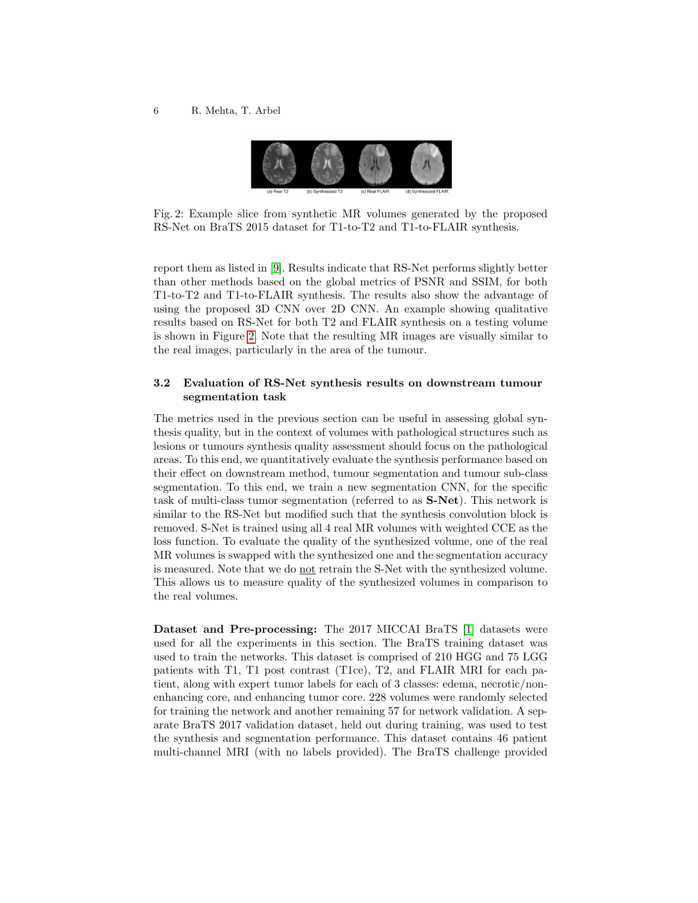<span id="page-5-0"></span>

Fig. 2: Example slice from synthetic MR volumes generated by the proposed RS-Net on BraTS 2015 dataset for T1-to-T2 and T1-to-FLAIR synthesis.

report them as listed in [\[9\]](#page-10-7). Results indicate that RS-Net performs slightly better than other methods based on the global metrics of PSNR and SSIM, for both T1-to-T2 and T1-to-FLAIR synthesis. The results also show the advantage of using the proposed 3D CNN over 2D CNN. An example showing qualitative results based on RS-Net for both T2 and FLAIR synthesis on a testing volume is shown in Figure [2.](#page-5-0) Note that the resulting MR images are visually similar to the real images, particularly in the area of the tumour.

# 3.2 Evaluation of RS-Net synthesis results on downstream tumour segmentation task

The metrics used in the previous section can be useful in assessing global synthesis quality, but in the context of volumes with pathological structures such as lesions or tumours synthesis quality assessment should focus on the pathological areas. To this end, we quantitatively evaluate the synthesis performance based on their effect on downstream method, tumour segmentation and tumour sub-class segmentation. To this end, we train a new segmentation CNN, for the specific task of multi-class tumor segmentation (referred to as S-Net). This network is similar to the RS-Net but modified such that the synthesis convolution block is removed. S-Net is trained using all 4 real MR volumes with weighted CCE as the loss function. To evaluate the quality of the synthesized volume, one of the real MR volumes is swapped with the synthesized one and the segmentation accuracy is measured. Note that we do not retrain the S-Net with the synthesized volume. This allows us to measure quality of the synthesized volumes in comparison to the real volumes.

Dataset and Pre-processing: The 2017 MICCAI BraTS [\[1\]](#page-9-0) datasets were used for all the experiments in this section. The BraTS training dataset was used to train the networks. This dataset is comprised of 210 HGG and 75 LGG patients with T1, T1 post contrast (T1ce), T2, and FLAIR MRI for each patient, along with expert tumor labels for each of 3 classes: edema, necrotic/nonenhancing core, and enhancing tumor core. 228 volumes were randomly selected for training the network and another remaining 57 for network validation. A separate BraTS 2017 validation dataset, held out during training, was used to test the synthesis and segmentation performance. This dataset contains 46 patient multi-channel MRI (with no labels provided). The BraTS challenge provided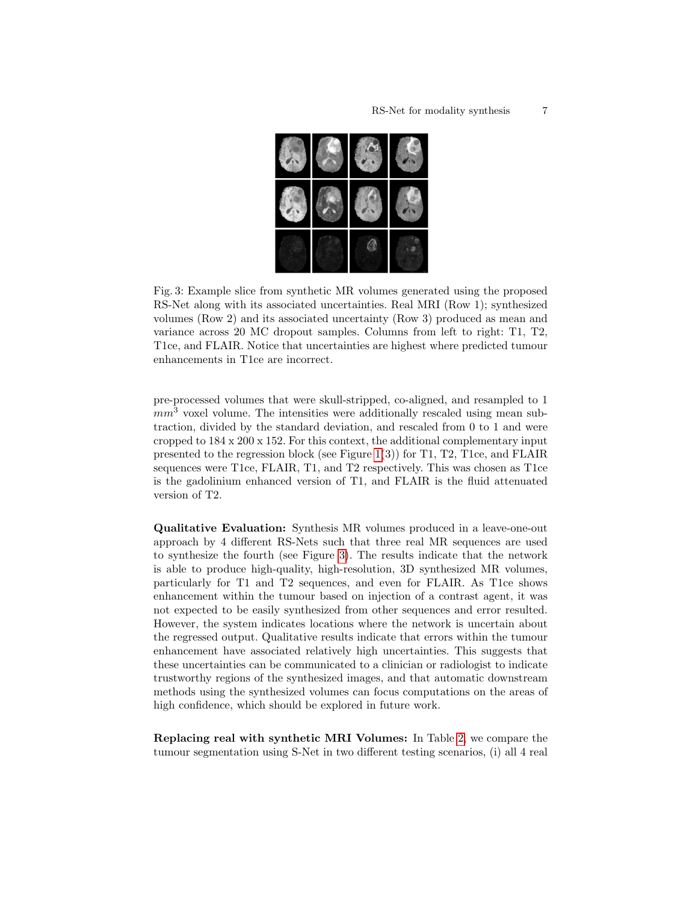<span id="page-6-0"></span>

Fig. 3: Example slice from synthetic MR volumes generated using the proposed RS-Net along with its associated uncertainties. Real MRI (Row 1); synthesized volumes (Row 2) and its associated uncertainty (Row 3) produced as mean and variance across 20 MC dropout samples. Columns from left to right: T1, T2, T1ce, and FLAIR. Notice that uncertainties are highest where predicted tumour enhancements in T1ce are incorrect.

pre-processed volumes that were skull-stripped, co-aligned, and resampled to 1  $mm<sup>3</sup>$  voxel volume. The intensities were additionally rescaled using mean subtraction, divided by the standard deviation, and rescaled from 0 to 1 and were cropped to 184 x 200 x 152. For this context, the additional complementary input presented to the regression block (see Figure [1\(](#page-2-0)3)) for T1, T2, T1ce, and FLAIR sequences were T1ce, FLAIR, T1, and T2 respectively. This was chosen as T1ce is the gadolinium enhanced version of T1, and FLAIR is the fluid attenuated version of T2.

Qualitative Evaluation: Synthesis MR volumes produced in a leave-one-out approach by 4 different RS-Nets such that three real MR sequences are used to synthesize the fourth (see Figure [3\)](#page-6-0). The results indicate that the network is able to produce high-quality, high-resolution, 3D synthesized MR volumes, particularly for T1 and T2 sequences, and even for FLAIR. As T1ce shows enhancement within the tumour based on injection of a contrast agent, it was not expected to be easily synthesized from other sequences and error resulted. However, the system indicates locations where the network is uncertain about the regressed output. Qualitative results indicate that errors within the tumour enhancement have associated relatively high uncertainties. This suggests that these uncertainties can be communicated to a clinician or radiologist to indicate trustworthy regions of the synthesized images, and that automatic downstream methods using the synthesized volumes can focus computations on the areas of high confidence, which should be explored in future work.

Replacing real with synthetic MRI Volumes: In Table [2,](#page-7-0) we compare the tumour segmentation using S-Net in two different testing scenarios, (i) all 4 real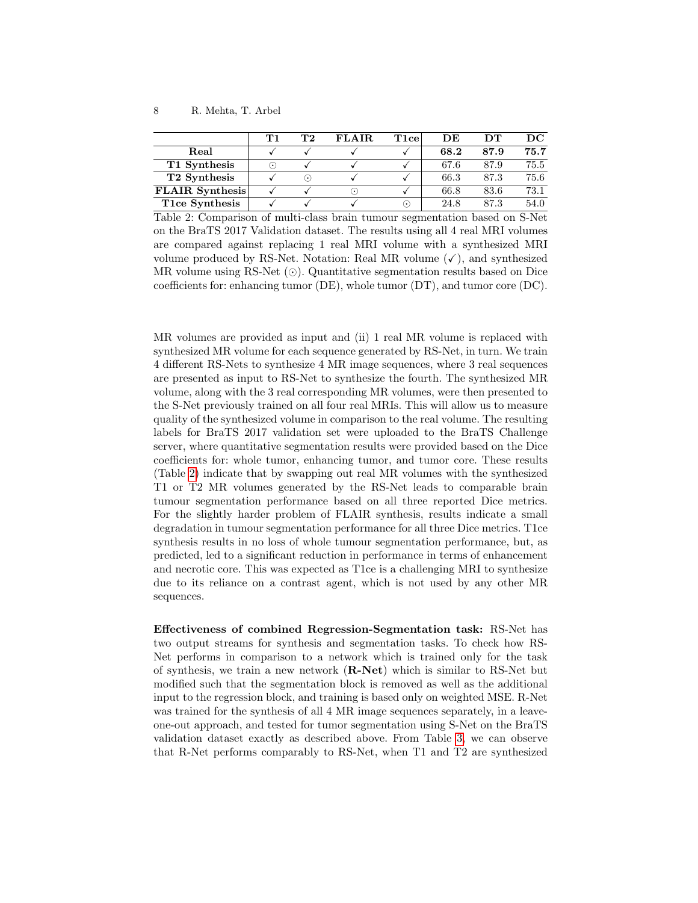<span id="page-7-0"></span>

|                          | Т1        | Т2                         | <b>FLAIR</b>    | T1ce    | DE.  | DТ   | DC.  |
|--------------------------|-----------|----------------------------|-----------------|---------|------|------|------|
| Real                     |           |                            |                 |         | 68.2 | 87.9 | 75.7 |
| T1 Synthesis             | $(\cdot)$ |                            |                 |         | 67.6 | 87.9 | 75.5 |
| T <sub>2</sub> Synthesis |           | $(\,\boldsymbol{\cdot}\,)$ |                 |         | 66.3 | 87.3 | 75.6 |
| <b>FLAIR Synthesis</b>   |           |                            | $(\,\bullet\,)$ |         | 66.8 | 83.6 | 73.1 |
| T1ce Synthesis           |           |                            |                 | $\cdot$ | 24.8 | 87.3 | 54.0 |

Table 2: Comparison of multi-class brain tumour segmentation based on S-Net on the BraTS 2017 Validation dataset. The results using all 4 real MRI volumes are compared against replacing 1 real MRI volume with a synthesized MRI volume produced by RS-Net. Notation: Real MR volume  $(\checkmark)$ , and synthesized MR volume using RS-Net  $(\odot)$ . Quantitative segmentation results based on Dice coefficients for: enhancing tumor (DE), whole tumor (DT), and tumor core (DC).

MR volumes are provided as input and (ii) 1 real MR volume is replaced with synthesized MR volume for each sequence generated by RS-Net, in turn. We train 4 different RS-Nets to synthesize 4 MR image sequences, where 3 real sequences are presented as input to RS-Net to synthesize the fourth. The synthesized MR volume, along with the 3 real corresponding MR volumes, were then presented to the S-Net previously trained on all four real MRIs. This will allow us to measure quality of the synthesized volume in comparison to the real volume. The resulting labels for BraTS 2017 validation set were uploaded to the BraTS Challenge server, where quantitative segmentation results were provided based on the Dice coefficients for: whole tumor, enhancing tumor, and tumor core. These results (Table [2\)](#page-7-0) indicate that by swapping out real MR volumes with the synthesized T1 or T2 MR volumes generated by the RS-Net leads to comparable brain tumour segmentation performance based on all three reported Dice metrics. For the slightly harder problem of FLAIR synthesis, results indicate a small degradation in tumour segmentation performance for all three Dice metrics. T1ce synthesis results in no loss of whole tumour segmentation performance, but, as predicted, led to a significant reduction in performance in terms of enhancement and necrotic core. This was expected as T1ce is a challenging MRI to synthesize due to its reliance on a contrast agent, which is not used by any other MR sequences.

Effectiveness of combined Regression-Segmentation task: RS-Net has two output streams for synthesis and segmentation tasks. To check how RS-Net performs in comparison to a network which is trained only for the task of synthesis, we train a new network (R-Net) which is similar to RS-Net but modified such that the segmentation block is removed as well as the additional input to the regression block, and training is based only on weighted MSE. R-Net was trained for the synthesis of all 4 MR image sequences separately, in a leaveone-out approach, and tested for tumor segmentation using S-Net on the BraTS validation dataset exactly as described above. From Table [3,](#page-8-0) we can observe that R-Net performs comparably to RS-Net, when T1 and T2 are synthesized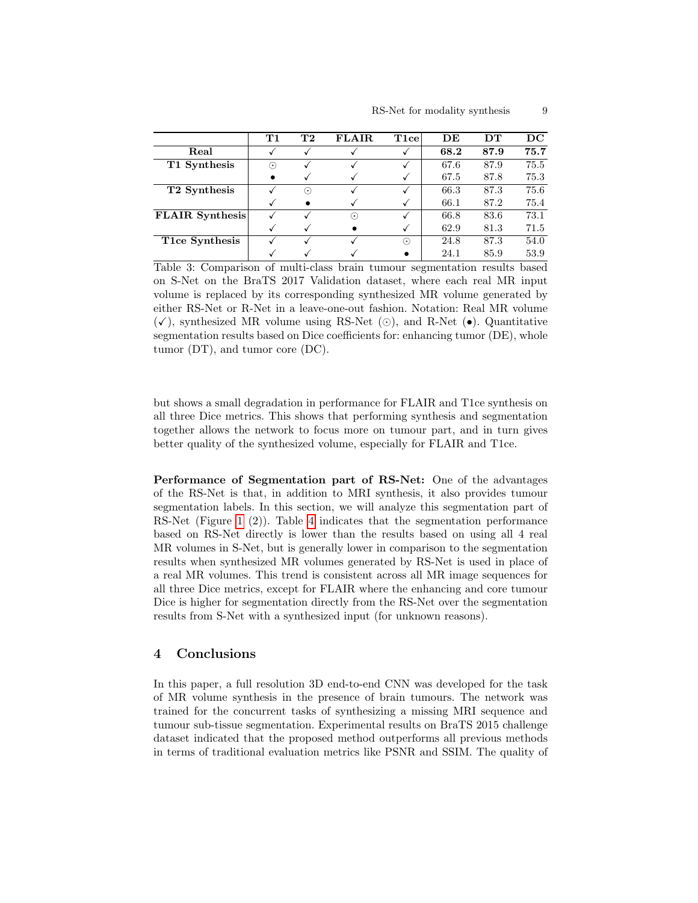<span id="page-8-0"></span>

|                          | $\mathbf{T1}$ | $\mathbf{T}2$ | <b>FLAIR</b> | $_{\rm T1ce}$                    | DE   | DТ   | $_{\rm DC}$ |
|--------------------------|---------------|---------------|--------------|----------------------------------|------|------|-------------|
| Real                     |               |               |              |                                  | 68.2 | 87.9 | 75.7        |
| T1 Synthesis             | ⊙             |               |              |                                  | 67.6 | 87.9 | 75.5        |
|                          | $\bullet$     |               |              |                                  | 67.5 | 87.8 | 75.3        |
| T <sub>2</sub> Synthesis |               | ∩             |              |                                  | 66.3 | 87.3 | 75.6        |
|                          |               |               |              |                                  | 66.1 | 87.2 | 75.4        |
| <b>FLAIR</b> Synthesis   |               |               | $_{\odot}$   |                                  | 66.8 | 83.6 | 73.1        |
|                          |               |               |              |                                  | 62.9 | 81.3 | 71.5        |
| T1ce Synthesis           |               |               |              | $\widehat{\left( \cdot \right)}$ | 24.8 | 87.3 | 54.0        |
|                          |               |               |              |                                  | 24.1 | 85.9 | 53.9        |

Table 3: Comparison of multi-class brain tumour segmentation results based on S-Net on the BraTS 2017 Validation dataset, where each real MR input volume is replaced by its corresponding synthesized MR volume generated by either RS-Net or R-Net in a leave-one-out fashion. Notation: Real MR volume  $(\checkmark)$ , synthesized MR volume using RS-Net ( $\odot$ ), and R-Net ( $\bullet$ ). Quantitative segmentation results based on Dice coefficients for: enhancing tumor (DE), whole tumor (DT), and tumor core (DC).

but shows a small degradation in performance for FLAIR and T1ce synthesis on all three Dice metrics. This shows that performing synthesis and segmentation together allows the network to focus more on tumour part, and in turn gives better quality of the synthesized volume, especially for FLAIR and T1ce.

Performance of Segmentation part of RS-Net: One of the advantages of the RS-Net is that, in addition to MRI synthesis, it also provides tumour segmentation labels. In this section, we will analyze this segmentation part of RS-Net (Figure [1](#page-2-0) (2)). Table [4](#page-9-2) indicates that the segmentation performance based on RS-Net directly is lower than the results based on using all 4 real MR volumes in S-Net, but is generally lower in comparison to the segmentation results when synthesized MR volumes generated by RS-Net is used in place of a real MR volumes. This trend is consistent across all MR image sequences for all three Dice metrics, except for FLAIR where the enhancing and core tumour Dice is higher for segmentation directly from the RS-Net over the segmentation results from S-Net with a synthesized input (for unknown reasons).

# 4 Conclusions

In this paper, a full resolution 3D end-to-end CNN was developed for the task of MR volume synthesis in the presence of brain tumours. The network was trained for the concurrent tasks of synthesizing a missing MRI sequence and tumour sub-tissue segmentation. Experimental results on BraTS 2015 challenge dataset indicated that the proposed method outperforms all previous methods in terms of traditional evaluation metrics like PSNR and SSIM. The quality of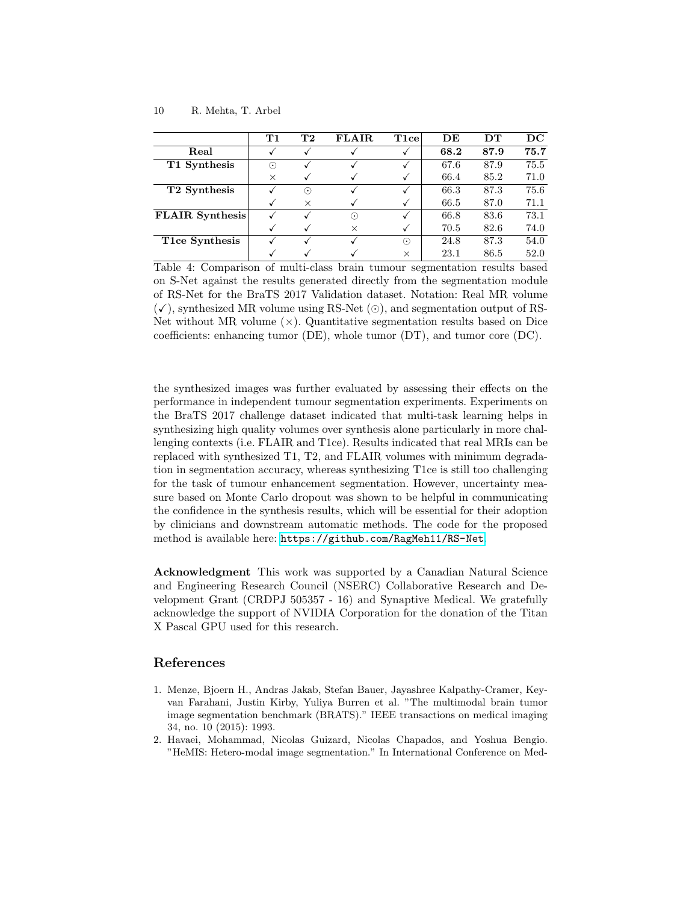<span id="page-9-2"></span>

|                                      | T1       | T2                     | <b>FLAIR</b> | $_{\rm T1ce}$ | DE   | DТ   | $_{\rm DC}$ |
|--------------------------------------|----------|------------------------|--------------|---------------|------|------|-------------|
| Real                                 |          |                        |              |               | 68.2 | 87.9 | 75.7        |
| T1 Synthesis                         | ⊙        |                        |              |               | 67.6 | 87.9 | 75.5        |
|                                      | $\times$ |                        |              |               | 66.4 | 85.2 | 71.0        |
| T <sub>2</sub> Synthesis             |          | $(\boldsymbol{\cdot})$ |              |               | 66.3 | 87.3 | 75.6        |
|                                      |          | $\times$               |              |               | 66.5 | 87.0 | 71.1        |
| $\overline{\text{FLA}}$ IR Synthesis |          |                        | $\odot$      |               | 66.8 | 83.6 | 73.1        |
|                                      |          |                        | X            |               | 70.5 | 82.6 | 74.0        |
| T1ce Synthesis                       |          |                        |              | $\odot$       | 24.8 | 87.3 | 54.0        |
|                                      |          |                        |              | $\times$      | 23.1 | 86.5 | 52.0        |

Table 4: Comparison of multi-class brain tumour segmentation results based on S-Net against the results generated directly from the segmentation module of RS-Net for the BraTS 2017 Validation dataset. Notation: Real MR volume  $(\checkmark)$ , synthesized MR volume using RS-Net ( $\odot$ ), and segmentation output of RS-Net without MR volume  $(\times)$ . Quantitative segmentation results based on Dice coefficients: enhancing tumor (DE), whole tumor (DT), and tumor core (DC).

the synthesized images was further evaluated by assessing their effects on the performance in independent tumour segmentation experiments. Experiments on the BraTS 2017 challenge dataset indicated that multi-task learning helps in synthesizing high quality volumes over synthesis alone particularly in more challenging contexts (i.e. FLAIR and T1ce). Results indicated that real MRIs can be replaced with synthesized T1, T2, and FLAIR volumes with minimum degradation in segmentation accuracy, whereas synthesizing T1ce is still too challenging for the task of tumour enhancement segmentation. However, uncertainty measure based on Monte Carlo dropout was shown to be helpful in communicating the confidence in the synthesis results, which will be essential for their adoption by clinicians and downstream automatic methods. The code for the proposed method is available here: <https://github.com/RagMeh11/RS-Net>.

Acknowledgment This work was supported by a Canadian Natural Science and Engineering Research Council (NSERC) Collaborative Research and Development Grant (CRDPJ 505357 - 16) and Synaptive Medical. We gratefully acknowledge the support of NVIDIA Corporation for the donation of the Titan X Pascal GPU used for this research.

## References

- <span id="page-9-0"></span>1. Menze, Bjoern H., Andras Jakab, Stefan Bauer, Jayashree Kalpathy-Cramer, Keyvan Farahani, Justin Kirby, Yuliya Burren et al. "The multimodal brain tumor image segmentation benchmark (BRATS)." IEEE transactions on medical imaging 34, no. 10 (2015): 1993.
- <span id="page-9-1"></span>2. Havaei, Mohammad, Nicolas Guizard, Nicolas Chapados, and Yoshua Bengio. "HeMIS: Hetero-modal image segmentation." In International Conference on Med-